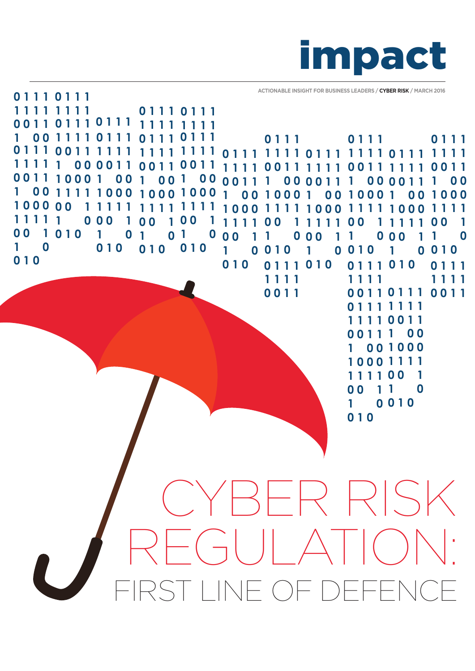

**ACTIONABLE INSIGHT FOR BUSINESS LEADERS / CYBER RISK / MARCH 2016**

INF OF DEFENC CYBER RISK  $\vert \ \ \vert$ **0 1 1 1 0 0 1 1 1 1 1 1 1 1 1 1 1 0 0 0 0 1 1 0 0 1 1 1 0 0 0 1 0 0 1 1 1 1 1 0 0 0 1 0 0 0 0 0 1 1 1 1 1 0 0 1 0 1 0 1 0 0 1 0 0 1 1 1 0 1 1 1 1 1 1 1 0 1 1 1 1 0 0 1 0 0 0 1 1 0 0 1 1 1 1 1 0 0 1 0 0 1 1 1 1 1 1 1 0 0 1 1 0 0 1 1 1 0 0 1 0 0 1 0 0 0 0 1 1 1 0 0 0 0 1 1 0 0 1 1 1 0 0 0 1 0 0 0 1 1 1 1 1 1 1 1 0 0 1 1 0 1 0 0 1 0 0 1 1 1 1 1 1 1 0 0 1 0 1 0 0 1 1 1 0 1 0 0 1 1 1 1 1 1 1 0 0 1 1 0 1 1 1 1 1 1 1 0 1 1 1 1 1 1 1 0 1 1 1 1 1 1 1 0 1 1 1 0 0 1 1 1 1 1 1 0 0 1 1 1 1 1 1 1 1 1 1 1 0 0 0 1 0 0 1 1 1 1 1 0 0 0 0 0 1 1 0 0 0 1 0 1 0 1 0 1 1 1 1 0 0 1 1 1 1 1 0 0 1 1 0 0 1 1 0 1 1 1 0 1 1 1 1 0 0 0 1 0 0 1 1 1 1 1 0 0 0 0 0 1 1 0 0 0 1 0 1 0 1 1 1 1 1 0 0 1 0 0 1 1 1 0 1 0 1 1 1 1 0 1 1 1 0 0 1 1 1 0 0 1 0 0 0 1 1 1 1 0 0 1 1 0 0 1 0 1 0 1 0 0 1 0 0 0 1 1 1 1 1 1 1 1 0 1 1 1 0 0 1 1 1 1 1 1 1 0 0 0 0 1 1 1 0 0 0 1 0 0 1 1 1 1 1 0 0 0 0 0 1 1 1 1 1 1 0 0 0 1 0 1 0 1 0 0 1 0 1 1 1 1 1 1 1 1 0 0 1 1 0 1 1 1 1 1 1 1 0 1 1 1 1 1 1 1**

**0 1 1 1 0 1 1 1**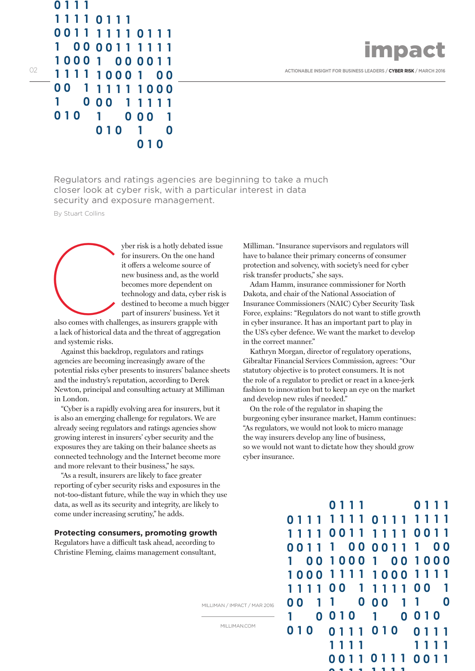

02 **ACTIONABLE INSIGHT FOR BUSINESS LEADERS / CYBER RISK** / MARCH 2016

Regulators and ratings agencies are beginning to take a much closer look at cyber risk, with a particular interest in data security and exposure management.

By Stuart Collins

**0 1 1 1**

**0 0 1 1 0 0 1 0** 

**1 1 1 1 0 1 1 1**

**1 0 0 0 1 0 0 1 1 1 1 1 0 0 0** 

**0 0 1 1 1 1 1 1 0 1 1 1 1 00 00 1 1 1 1 1 1** 

> **1 1 1 1 0 0 1**

**0 1 0** 

**1 0 0 0 1**

**0 0 1 1**

**1 0 0 1 0 0 0 1 1 1 1** 

**1 0 0 1 0** 

yber risk is a hotly debated issue for insurers. On the one hand it offers a welcome source of new business and, as the world becomes more dependent on technology and data, cyber risk is destined to become a much bigger part of insurers' business. Yet it

also comes with challenges, as insurers grapple with a lack of historical data and the threat of aggregation and systemic risks. also comes with chall

Against this backdrop, regulators and ratings agencies are becoming increasingly aware of the potential risks cyber presents to insurers' balance sheets and the industry's reputation, according to Derek Newton, principal and consulting actuary at Milliman in London.

"Cyber is a rapidly evolving area for insurers, but it is also an emerging challenge for regulators. We are already seeing regulators and ratings agencies show growing interest in insurers' cyber security and the exposures they are taking on their balance sheets as connected technology and the Internet become more and more relevant to their business," he says.

"As a result, insurers are likely to face greater reporting of cyber security risks and exposures in the not-too-distant future, while the way in which they use data, as well as its security and integrity, are likely to come under increasing scrutiny," he adds.

## **Protecting consumers, promoting growth**

Regulators have a difficult task ahead, according to Christine Fleming, claims management consultant, Milliman. "Insurance supervisors and regulators will have to balance their primary concerns of consumer protection and solvency, with society's need for cyber risk transfer products," she says.

Adam Hamm, insurance commissioner for North Dakota, and chair of the National Association of Insurance Commissioners (NAIC) Cyber Security Task Force, explains: "Regulators do not want to stifle growth in cyber insurance. It has an important part to play in the US's cyber defence. We want the market to develop in the correct manner."

Kathryn Morgan, director of regulatory operations, Gibraltar Financial Services Commission, agrees: "Our statutory objective is to protect consumers. It is not the role of a regulator to predict or react in a knee-jerk fashion to innovation but to keep an eye on the market and develop new rules if needed."

On the role of the regulator in shaping the burgeoning cyber insurance market, Hamm continues: "As regulators, we would not look to micro manage the way insurers develop any line of business, so we would not want to dictate how they should grow cyber insurance.

> **0 1 1 1 0 1 0 0 1 1 1 0 1 0 1 1 1 1 0 0 1 1 0 0 1 1 0 1 1 1 0 1 1 1 1 1 1 1 0 1 1 1 1 1 1 1 0 1 1 1 0 0 1 1 1 1 1 1 0 0 1 1 1 1 1 1 1 0 0 0 0 1 1 1 0 0 0 0 1 1 1 0 0 0 1 0 0 1 1 1 1 1 0 0 0 0 0 1 1 1 1 1 1 0 0 1 0 0 0 1 1 0 1 1 1 1 0 1 1 1 1 0 0 0 1 0 0 1 1 1 1 1 0 0 0 0 0 1 1 0 0 1 0 1 0 1 1 1 1 0 0 1**

> > **0 1 1 1**

**1 1 1 1**

MILLIMAN / IMPACT / MAR 2016

MILLIMAN.COM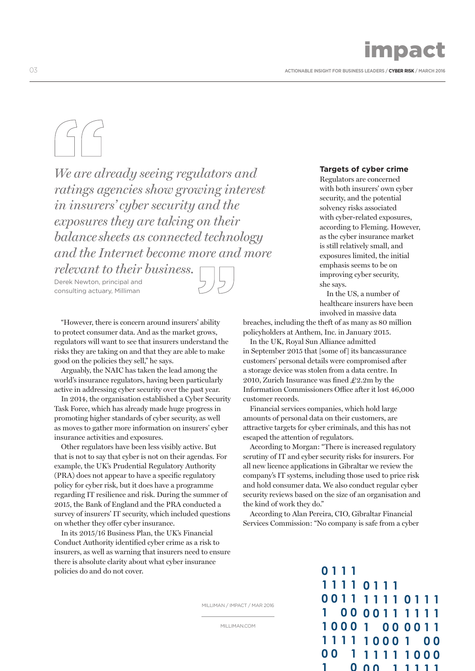# impact

03 **ACTIONABLE INSIGHT FOR BUSINESS LEADERS / CYBER RISK / MARCH 2016**

*We are already seeing regulators and ratings agencies show growing interest in insurers' cyber security and the exposures they are taking on their balancesheets as connected technology and the Internet become more and more*

*relevant to their business.* Derek Newton, principal and consulting actuary, Milliman

"However, there is concern around insurers' ability to protect consumer data. And as the market grows, regulators will want to see that insurers understand the risks they are taking on and that they are able to make good on the policies they sell," he says.

Arguably, the NAIC has taken the lead among the world's insurance regulators, having been particularly active in addressing cyber security over the past year.

In 2014, the organisation established a Cyber Security Task Force, which has already made huge progress in promoting higher standards of cyber security, as well as moves to gather more information on insurers' cyber insurance activities and exposures.

Other regulators have been less visibly active. But that is not to say that cyber is not on their agendas. For example, the UK's Prudential Regulatory Authority (PRA) does not appear to have a specific regulatory policy for cyber risk, but it does have a programme regarding IT resilience and risk. During the summer of 2015, the Bank of England and the PRA conducted a survey of insurers' IT security, which included questions on whether they offer cyber insurance.

In its 2015/16 Business Plan, the UK's Financial Conduct Authority identified cyber crime as a risk to insurers, as well as warning that insurers need to ensure there is absolute clarity about what cyber insurance policies do and do not cover.

# **Targets of cyber crime**

Regulators are concerned with both insurers' own cyber security, and the potential solvency risks associated with cyber-related exposures, according to Fleming. However, as the cyber insurance market is still relatively small, and exposures limited, the initial emphasis seems to be on improving cyber security, she says.

In the US, a number of healthcare insurers have been involved in massive data

breaches, including the theft of as many as 80 million policyholders at Anthem, Inc. in January 2015.

In the UK, Royal Sun Alliance admitted in September 2015 that [some of] its bancassurance customers' personal details were compromised after a storage device was stolen from a data centre. In 2010, Zurich Insurance was fined  $\text{\textsterling}2.2m$  by the Information Commissioners Office after it lost 46,000 customer records.

Financial services companies, which hold large amounts of personal data on their customers, are attractive targets for cyber criminals, and this has not escaped the attention of regulators.

According to Morgan: "There is increased regulatory scrutiny of IT and cyber security risks for insurers. For all new licence applications in Gibraltar we review the company's IT systems, including those used to price risk and hold consumer data. We also conduct regular cyber security reviews based on the size of an organisation and the kind of work they do."

According to Alan Pereira, CIO, Gibraltar Financial Services Commission: "No company is safe from a cyber

**0 1 1 1**

 $\mathbf{1}$ 

MILLIMAN / IMPACT / MAR 2016

MILLIMAN.COM

**1 1 1 1 0 0 1 1 1 1 1 1 0 1 1 1 1 0 0 0 0 1 1 1 1 1 1 1 0 0 0 1 1 1 1 1 0 0 0 0 0 1 0 1 1 1 1 0 0 0 0 1 1 1 1 1 1 1 0 0 0 1 0 0**

**0 0 1 1 1 1 1**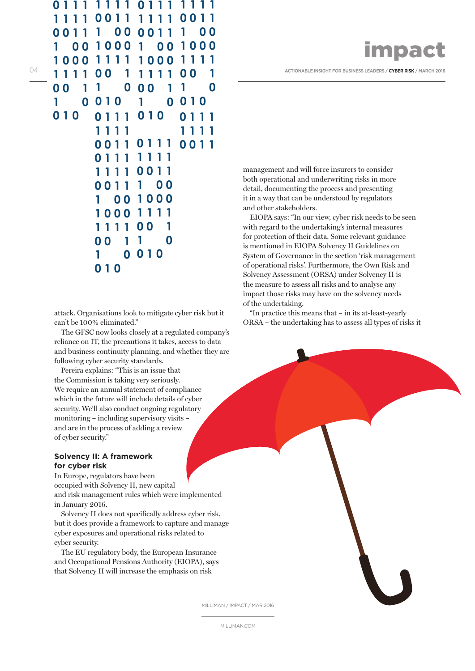|  | <b>impact</b> |
|--|---------------|
|  |               |

04 **111100 1111100** 1 **100** 1

management and will force insurers to consider both operational and underwriting risks in more detail, documenting the process and presenting it in a way that can be understood by regulators and other stakeholders.

EIOPA says: "In our view, cyber risk needs to be seen with regard to the undertaking's internal measures for protection of their data. Some relevant guidance is mentioned in EIOPA Solvency II Guidelines on System of Governance in the section 'risk management of operational risks'. Furthermore, the Own Risk and Solvency Assessment (ORSA) under Solvency II is the measure to assess all risks and to analyse any impact those risks may have on the solvency needs of the undertaking.

"In practice this means that – in its at-least-yearly ORSA – the undertaking has to assess all types of risks it

attack. Organisations look to mitigate cyber risk but it can't be 100% eliminated."

**0 1 1 1 0 1 0 0 1 1 1 0 1 0** 

**1 1 1 1 0 1 1 1 0 0 1 1 1 1 1 1**

**1 0 0 0 1 0 0 1 1 1 1 1 0 0 0 0 0 1 1 1 1 1** 

**0 0 1 1**

**0 1 0 1 0**

**0 0 1**

**0 1 0** 

**1 1 1 1 0 1 1 1 1 1 1 1 0 1 1 1 0 0 1 1 1 1 1 1 0 0 1 1 1 1 1 1**

**0 0 1 1 0 0 1 1 0 1 1 1**

**1 0**

**1 0 0**

**1 1 1 1**

**0 1 0** 

**1 0**

**1 0 0 1 0 0 0 0 1 1**

**1 1 1 1 0 0 1 1 0**

**1 0 0 0 1 0 0 1 1 1 1 1 0 0 0 0 0 1**

**1 1 1 1**

**1 0 0 1 0** 

**1 0 0 0 1 0 0 1 1 1 1 1 0 0 0 0 0 1 1 1 1 1** 

**0 0 1 1**

**0 0 1 1 0**

The GFSC now looks closely at a regulated company's reliance on IT, the precautions it takes, access to data and business continuity planning, and whether they are following cyber security standards.

Pereira explains: "This is an issue that the Commission is taking very seriously. We require an annual statement of compliance which in the future will include details of cyber security. We'll also conduct ongoing regulatory monitoring – including supervisory visits – and are in the process of adding a review of cyber security."

# **Solvency II: A framework for cyber risk**

In Europe, regulators have been occupied with Solvency II, new capital and risk management rules which were implemented in January 2016.

Solvency II does not specifically address cyber risk, but it does provide a framework to capture and manage cyber exposures and operational risks related to cyber security.

The EU regulatory body, the European Insurance and Occupational Pensions Authority (EIOPA), says that Solvency II will increase the emphasis on risk

MILLIMAN / IMPACT / MAR 2016

MILLIMAN.COM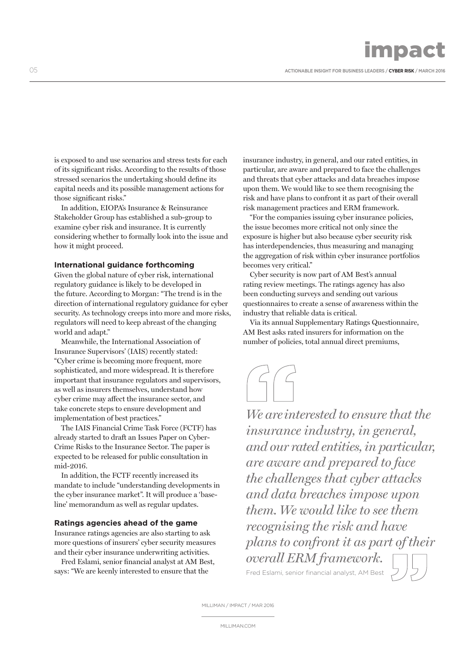impact

05 **ACTIONABLE INSIGHT FOR BUSINESS LEADERS / CYBER RISK / MARCH 2016**

is exposed to and use scenarios and stress tests for each of its significant risks. According to the results of those stressed scenarios the undertaking should define its capital needs and its possible management actions for those significant risks."

In addition, EIOPA's Insurance & Reinsurance Stakeholder Group has established a sub-group to examine cyber risk and insurance. It is currently considering whether to formally look into the issue and how it might proceed.

# **International guidance forthcoming**

Given the global nature of cyber risk, international regulatory guidance is likely to be developed in the future. According to Morgan: "The trend is in the direction of international regulatory guidance for cyber security. As technology creeps into more and more risks, regulators will need to keep abreast of the changing world and adapt."

Meanwhile, the International Association of Insurance Supervisors' (IAIS) recently stated: "Cyber crime is becoming more frequent, more sophisticated, and more widespread. It is therefore important that insurance regulators and supervisors, as well as insurers themselves, understand how cyber crime may affect the insurance sector, and take concrete steps to ensure development and implementation of best practices."

The IAIS Financial Crime Task Force (FCTF) has already started to draft an Issues Paper on Cyber-Crime Risks to the Insurance Sector. The paper is expected to be released for public consultation in mid-2016.

In addition, the FCTF recently increased its mandate to include "understanding developments in the cyber insurance market". It will produce a 'baseline' memorandum as well as regular updates.

## **Ratings agencies ahead of the game**

Insurance ratings agencies are also starting to ask more questions of insurers' cyber security measures and their cyber insurance underwriting activities.

Fred Eslami, senior financial analyst at AM Best, says: "We are keenly interested to ensure that the

insurance industry, in general, and our rated entities, in particular, are aware and prepared to face the challenges and threats that cyber attacks and data breaches impose upon them. We would like to see them recognising the risk and have plans to confront it as part of their overall risk management practices and ERM framework.

"For the companies issuing cyber insurance policies, the issue becomes more critical not only since the exposure is higher but also because cyber security risk has interdependencies, thus measuring and managing the aggregation of risk within cyber insurance portfolios becomes very critical."

Cyber security is now part of AM Best's annual rating review meetings. The ratings agency has also been conducting surveys and sending out various questionnaires to create a sense of awareness within the industry that reliable data is critical.

Via its annual Supplementary Ratings Questionnaire, AM Best asks rated insurers for information on the number of policies, total annual direct premiums,



*We areinterested to ensure that the insurance industry, in general, and our rated entities, in particular, are aware and prepared to face the challenges that cyber attacks and data breaches impose upon them. We would like to see them recognising the risk and have plans to confront it as part of their overall ERM framework.* Fred Eslami, senior financial analyst, AM Best

MILLIMAN / IMPACT / MAR 2016